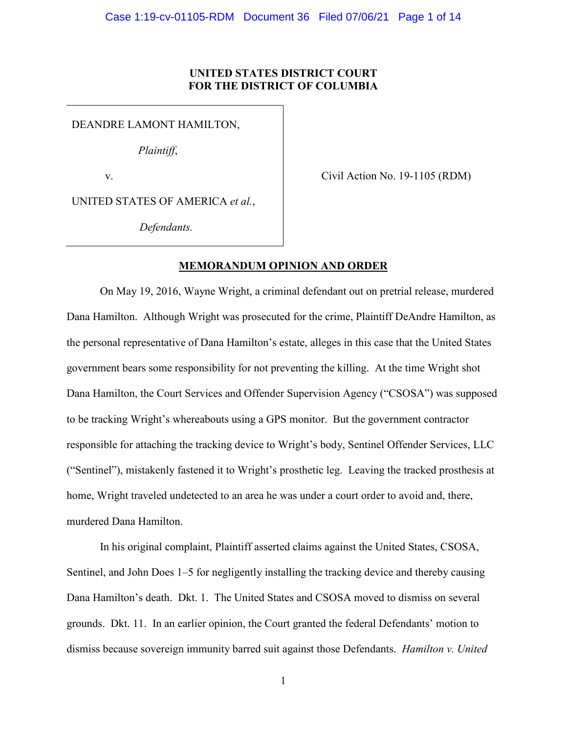# **UNITED STATES DISTRICT COURT FOR THE DISTRICT OF COLUMBIA**

DEANDRE LAMONT HAMILTON,

*Plaintiff*,

v.

Civil Action No. 19-1105 (RDM)

UNITED STATES OF AMERICA *et al.*,

*Defendants.*

# **MEMORANDUM OPINION AND ORDER**

On May 19, 2016, Wayne Wright, a criminal defendant out on pretrial release, murdered Dana Hamilton. Although Wright was prosecuted for the crime, Plaintiff DeAndre Hamilton, as the personal representative of Dana Hamilton's estate, alleges in this case that the United States government bears some responsibility for not preventing the killing. At the time Wright shot Dana Hamilton, the Court Services and Offender Supervision Agency ("CSOSA") was supposed to be tracking Wright's whereabouts using a GPS monitor. But the government contractor responsible for attaching the tracking device to Wright's body, Sentinel Offender Services, LLC ("Sentinel"), mistakenly fastened it to Wright's prosthetic leg. Leaving the tracked prosthesis at home, Wright traveled undetected to an area he was under a court order to avoid and, there, murdered Dana Hamilton.

In his original complaint, Plaintiff asserted claims against the United States, CSOSA, Sentinel, and John Does 1–5 for negligently installing the tracking device and thereby causing Dana Hamilton's death. Dkt. 1. The United States and CSOSA moved to dismiss on several grounds. Dkt. 11. In an earlier opinion, the Court granted the federal Defendants' motion to dismiss because sovereign immunity barred suit against those Defendants. *Hamilton v. United*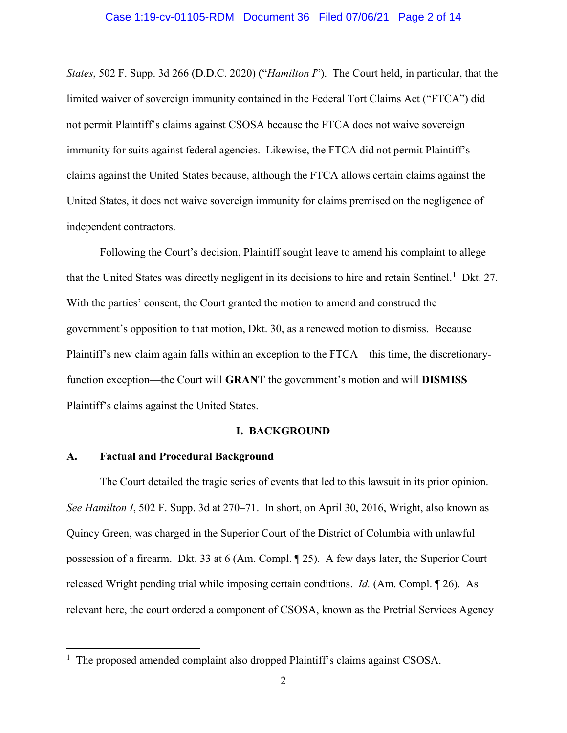### Case 1:19-cv-01105-RDM Document 36 Filed 07/06/21 Page 2 of 14

*States*, 502 F. Supp. 3d 266 (D.D.C. 2020) ("*Hamilton I*"). The Court held, in particular, that the limited waiver of sovereign immunity contained in the Federal Tort Claims Act ("FTCA") did not permit Plaintiff's claims against CSOSA because the FTCA does not waive sovereign immunity for suits against federal agencies. Likewise, the FTCA did not permit Plaintiff's claims against the United States because, although the FTCA allows certain claims against the United States, it does not waive sovereign immunity for claims premised on the negligence of independent contractors.

Following the Court's decision, Plaintiff sought leave to amend his complaint to allege that the United States was directly negligent in its decisions to hire and retain Sentinel.<sup>[1](#page-1-0)</sup> Dkt. 27. With the parties' consent, the Court granted the motion to amend and construed the government's opposition to that motion, Dkt. 30, as a renewed motion to dismiss. Because Plaintiff's new claim again falls within an exception to the FTCA—this time, the discretionaryfunction exception—the Court will **GRANT** the government's motion and will **DISMISS** Plaintiff's claims against the United States.

# **I. BACKGROUND**

# **A. Factual and Procedural Background**

The Court detailed the tragic series of events that led to this lawsuit in its prior opinion. *See Hamilton I*, 502 F. Supp. 3d at 270–71. In short, on April 30, 2016, Wright, also known as Quincy Green, was charged in the Superior Court of the District of Columbia with unlawful possession of a firearm. Dkt. 33 at 6 (Am. Compl. ¶ 25). A few days later, the Superior Court released Wright pending trial while imposing certain conditions. *Id.* (Am. Compl. ¶ 26). As relevant here, the court ordered a component of CSOSA, known as the Pretrial Services Agency

<span id="page-1-0"></span> $\frac{1}{1}$  $1$  The proposed amended complaint also dropped Plaintiff's claims against CSOSA.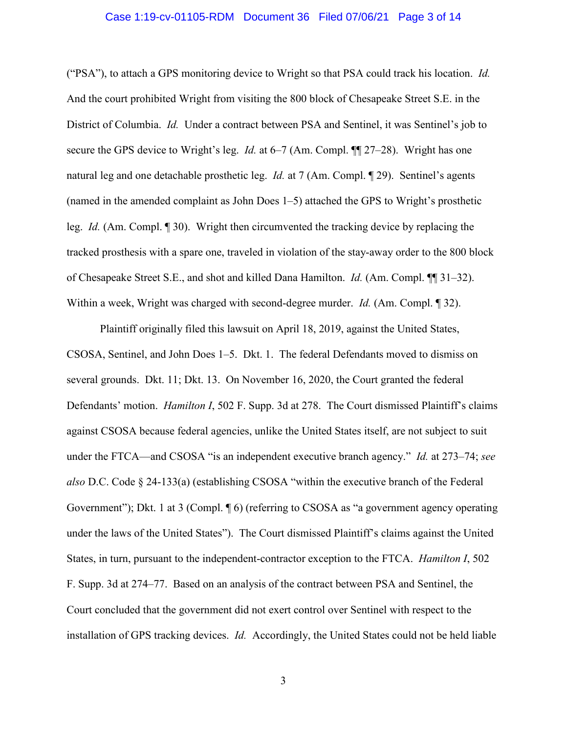### Case 1:19-cv-01105-RDM Document 36 Filed 07/06/21 Page 3 of 14

("PSA"), to attach a GPS monitoring device to Wright so that PSA could track his location. *Id.* And the court prohibited Wright from visiting the 800 block of Chesapeake Street S.E. in the District of Columbia. *Id.* Under a contract between PSA and Sentinel, it was Sentinel's job to secure the GPS device to Wright's leg. *Id.* at 6–7 (Am. Compl. ¶¶ 27–28). Wright has one natural leg and one detachable prosthetic leg. *Id.* at 7 (Am. Compl. ¶ 29). Sentinel's agents (named in the amended complaint as John Does 1–5) attached the GPS to Wright's prosthetic leg. *Id.* (Am. Compl. ¶ 30). Wright then circumvented the tracking device by replacing the tracked prosthesis with a spare one, traveled in violation of the stay-away order to the 800 block of Chesapeake Street S.E., and shot and killed Dana Hamilton. *Id.* (Am. Compl. ¶¶ 31–32). Within a week, Wright was charged with second-degree murder. *Id.* (Am. Compl. ¶ 32).

Plaintiff originally filed this lawsuit on April 18, 2019, against the United States, CSOSA, Sentinel, and John Does 1–5. Dkt. 1. The federal Defendants moved to dismiss on several grounds. Dkt. 11; Dkt. 13. On November 16, 2020, the Court granted the federal Defendants' motion. *Hamilton I*, 502 F. Supp. 3d at 278. The Court dismissed Plaintiff's claims against CSOSA because federal agencies, unlike the United States itself, are not subject to suit under the FTCA—and CSOSA "is an independent executive branch agency." *Id.* at 273–74; *see also* D.C. Code § 24-133(a) (establishing CSOSA "within the executive branch of the Federal Government"); Dkt. 1 at 3 (Compl. 1 6) (referring to CSOSA as "a government agency operating under the laws of the United States"). The Court dismissed Plaintiff's claims against the United States, in turn, pursuant to the independent-contractor exception to the FTCA. *Hamilton I*, 502 F. Supp. 3d at 274–77. Based on an analysis of the contract between PSA and Sentinel, the Court concluded that the government did not exert control over Sentinel with respect to the installation of GPS tracking devices. *Id.* Accordingly, the United States could not be held liable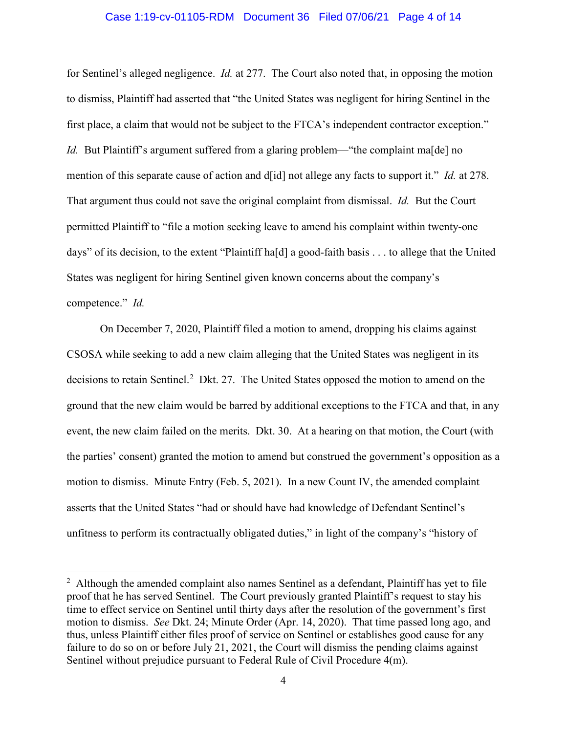## Case 1:19-cv-01105-RDM Document 36 Filed 07/06/21 Page 4 of 14

for Sentinel's alleged negligence. *Id.* at 277. The Court also noted that, in opposing the motion to dismiss, Plaintiff had asserted that "the United States was negligent for hiring Sentinel in the first place, a claim that would not be subject to the FTCA's independent contractor exception." *Id.* But Plaintiff's argument suffered from a glaring problem—"the complaint ma<sup>[de]</sup> no mention of this separate cause of action and d[id] not allege any facts to support it." *Id.* at 278. That argument thus could not save the original complaint from dismissal. *Id.* But the Court permitted Plaintiff to "file a motion seeking leave to amend his complaint within twenty-one days" of its decision, to the extent "Plaintiff ha[d] a good-faith basis . . . to allege that the United States was negligent for hiring Sentinel given known concerns about the company's competence." *Id.*

On December 7, 2020, Plaintiff filed a motion to amend, dropping his claims against CSOSA while seeking to add a new claim alleging that the United States was negligent in its decisions to retain Sentinel.<sup>[2](#page-3-0)</sup> Dkt. 27. The United States opposed the motion to amend on the ground that the new claim would be barred by additional exceptions to the FTCA and that, in any event, the new claim failed on the merits. Dkt. 30. At a hearing on that motion, the Court (with the parties' consent) granted the motion to amend but construed the government's opposition as a motion to dismiss. Minute Entry (Feb. 5, 2021). In a new Count IV, the amended complaint asserts that the United States "had or should have had knowledge of Defendant Sentinel's unfitness to perform its contractually obligated duties," in light of the company's "history of

<span id="page-3-0"></span> $\overline{2}$  $2$  Although the amended complaint also names Sentinel as a defendant, Plaintiff has yet to file proof that he has served Sentinel. The Court previously granted Plaintiff's request to stay his time to effect service on Sentinel until thirty days after the resolution of the government's first motion to dismiss. *See* Dkt. 24; Minute Order (Apr. 14, 2020). That time passed long ago, and thus, unless Plaintiff either files proof of service on Sentinel or establishes good cause for any failure to do so on or before July 21, 2021, the Court will dismiss the pending claims against Sentinel without prejudice pursuant to Federal Rule of Civil Procedure 4(m).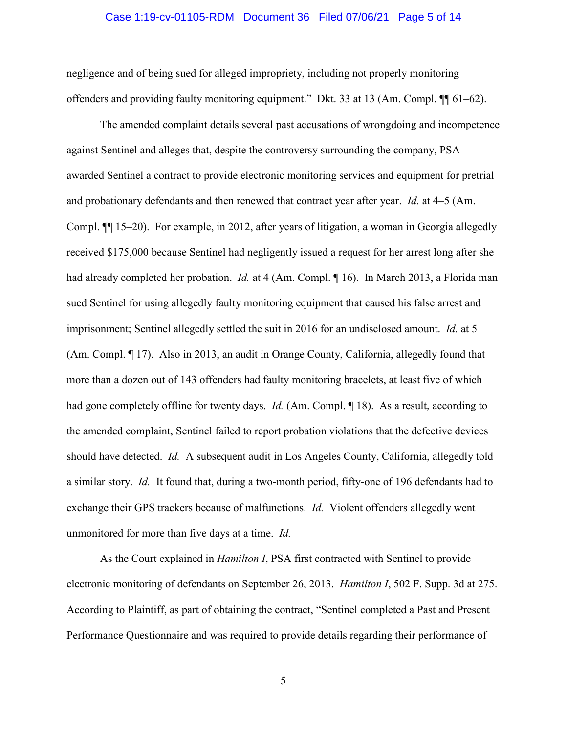### Case 1:19-cv-01105-RDM Document 36 Filed 07/06/21 Page 5 of 14

negligence and of being sued for alleged impropriety, including not properly monitoring offenders and providing faulty monitoring equipment." Dkt. 33 at 13 (Am. Compl. ¶¶ 61–62).

The amended complaint details several past accusations of wrongdoing and incompetence against Sentinel and alleges that, despite the controversy surrounding the company, PSA awarded Sentinel a contract to provide electronic monitoring services and equipment for pretrial and probationary defendants and then renewed that contract year after year. *Id.* at 4–5 (Am. Compl. ¶¶ 15–20). For example, in 2012, after years of litigation, a woman in Georgia allegedly received \$175,000 because Sentinel had negligently issued a request for her arrest long after she had already completed her probation. *Id.* at 4 (Am. Compl. ¶ 16). In March 2013, a Florida man sued Sentinel for using allegedly faulty monitoring equipment that caused his false arrest and imprisonment; Sentinel allegedly settled the suit in 2016 for an undisclosed amount. *Id.* at 5 (Am. Compl. ¶ 17). Also in 2013, an audit in Orange County, California, allegedly found that more than a dozen out of 143 offenders had faulty monitoring bracelets, at least five of which had gone completely offline for twenty days. *Id.* (Am. Compl. 18). As a result, according to the amended complaint, Sentinel failed to report probation violations that the defective devices should have detected. *Id.* A subsequent audit in Los Angeles County, California, allegedly told a similar story. *Id.* It found that, during a two-month period, fifty-one of 196 defendants had to exchange their GPS trackers because of malfunctions. *Id.* Violent offenders allegedly went unmonitored for more than five days at a time. *Id.*

As the Court explained in *Hamilton I*, PSA first contracted with Sentinel to provide electronic monitoring of defendants on September 26, 2013. *Hamilton I*, 502 F. Supp. 3d at 275. According to Plaintiff, as part of obtaining the contract, "Sentinel completed a Past and Present Performance Questionnaire and was required to provide details regarding their performance of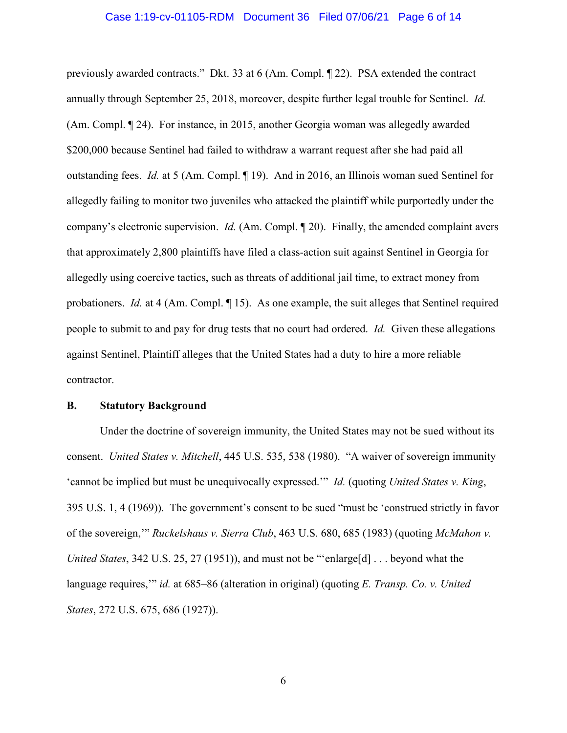### Case 1:19-cv-01105-RDM Document 36 Filed 07/06/21 Page 6 of 14

previously awarded contracts." Dkt. 33 at 6 (Am. Compl. ¶ 22). PSA extended the contract annually through September 25, 2018, moreover, despite further legal trouble for Sentinel. *Id.* (Am. Compl. ¶ 24). For instance, in 2015, another Georgia woman was allegedly awarded \$200,000 because Sentinel had failed to withdraw a warrant request after she had paid all outstanding fees. *Id.* at 5 (Am. Compl. ¶ 19). And in 2016, an Illinois woman sued Sentinel for allegedly failing to monitor two juveniles who attacked the plaintiff while purportedly under the company's electronic supervision. *Id.* (Am. Compl. ¶ 20). Finally, the amended complaint avers that approximately 2,800 plaintiffs have filed a class-action suit against Sentinel in Georgia for allegedly using coercive tactics, such as threats of additional jail time, to extract money from probationers. *Id.* at 4 (Am. Compl. 15). As one example, the suit alleges that Sentinel required people to submit to and pay for drug tests that no court had ordered. *Id.* Given these allegations against Sentinel, Plaintiff alleges that the United States had a duty to hire a more reliable contractor.

## **B. Statutory Background**

Under the doctrine of sovereign immunity, the United States may not be sued without its consent. *United States v. Mitchell*, 445 U.S. 535, 538 (1980). "A waiver of sovereign immunity 'cannot be implied but must be unequivocally expressed.'" *Id.* (quoting *United States v. King*, 395 U.S. 1, 4 (1969)). The government's consent to be sued "must be 'construed strictly in favor of the sovereign,'" *Ruckelshaus v. Sierra Club*, 463 U.S. 680, 685 (1983) (quoting *McMahon v. United States*, 342 U.S. 25, 27 (1951)), and must not be "'enlarge[d] . . . beyond what the language requires,'" *id.* at 685–86 (alteration in original) (quoting *E. Transp. Co. v. United States*, 272 U.S. 675, 686 (1927)).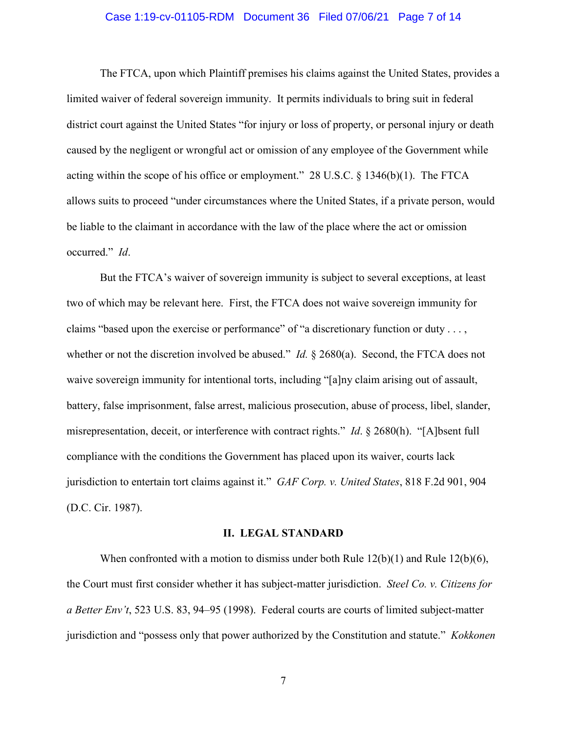## Case 1:19-cv-01105-RDM Document 36 Filed 07/06/21 Page 7 of 14

The FTCA, upon which Plaintiff premises his claims against the United States, provides a limited waiver of federal sovereign immunity. It permits individuals to bring suit in federal district court against the United States "for injury or loss of property, or personal injury or death caused by the negligent or wrongful act or omission of any employee of the Government while acting within the scope of his office or employment." 28 U.S.C. § 1346(b)(1). The FTCA allows suits to proceed "under circumstances where the United States, if a private person, would be liable to the claimant in accordance with the law of the place where the act or omission occurred." *Id*.

But the FTCA's waiver of sovereign immunity is subject to several exceptions, at least two of which may be relevant here. First, the FTCA does not waive sovereign immunity for claims "based upon the exercise or performance" of "a discretionary function or duty . . . , whether or not the discretion involved be abused." *Id.* § 2680(a). Second, the FTCA does not waive sovereign immunity for intentional torts, including "[a]ny claim arising out of assault, battery, false imprisonment, false arrest, malicious prosecution, abuse of process, libel, slander, misrepresentation, deceit, or interference with contract rights." *Id*. § 2680(h). "[A]bsent full compliance with the conditions the Government has placed upon its waiver, courts lack jurisdiction to entertain tort claims against it." *GAF Corp. v. United States*, 818 F.2d 901, 904 (D.C. Cir. 1987).

#### **II. LEGAL STANDARD**

When confronted with a motion to dismiss under both Rule 12(b)(1) and Rule 12(b)(6), the Court must first consider whether it has subject-matter jurisdiction. *Steel Co. v. Citizens for a Better Env't*, 523 U.S. 83, 94–95 (1998). Federal courts are courts of limited subject-matter jurisdiction and "possess only that power authorized by the Constitution and statute." *Kokkonen*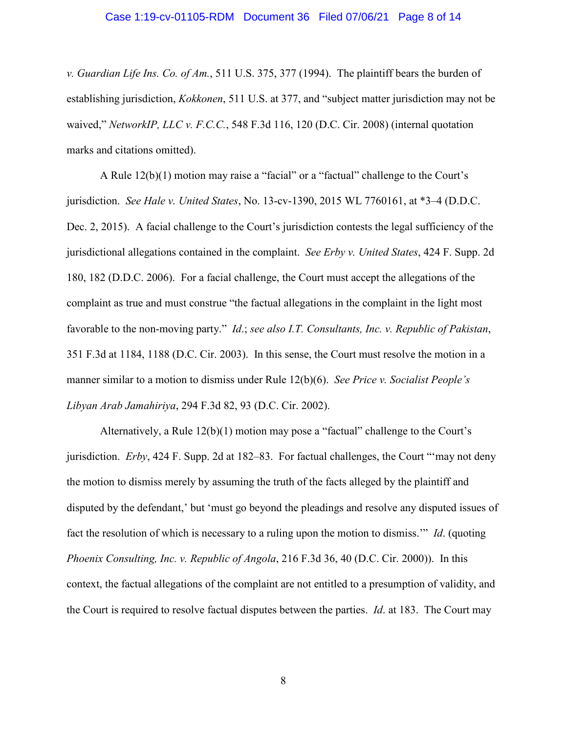### Case 1:19-cv-01105-RDM Document 36 Filed 07/06/21 Page 8 of 14

*v. Guardian Life Ins. Co. of Am.*, 511 U.S. 375, 377 (1994). The plaintiff bears the burden of establishing jurisdiction, *Kokkonen*, 511 U.S. at 377, and "subject matter jurisdiction may not be waived," *NetworkIP, LLC v. F.C.C.*, 548 F.3d 116, 120 (D.C. Cir. 2008) (internal quotation marks and citations omitted).

A Rule 12(b)(1) motion may raise a "facial" or a "factual" challenge to the Court's jurisdiction. *See Hale v. United States*, No. 13-cv-1390, 2015 WL 7760161, at \*3–4 (D.D.C. Dec. 2, 2015). A facial challenge to the Court's jurisdiction contests the legal sufficiency of the jurisdictional allegations contained in the complaint. *See Erby v. United States*, 424 F. Supp. 2d 180, 182 (D.D.C. 2006). For a facial challenge, the Court must accept the allegations of the complaint as true and must construe "the factual allegations in the complaint in the light most favorable to the non-moving party." *Id*.; *see also I.T. Consultants, Inc. v. Republic of Pakistan*, 351 F.3d at 1184, 1188 (D.C. Cir. 2003). In this sense, the Court must resolve the motion in a manner similar to a motion to dismiss under Rule 12(b)(6). *See Price v. Socialist People's Libyan Arab Jamahiriya*, 294 F.3d 82, 93 (D.C. Cir. 2002).

Alternatively, a Rule 12(b)(1) motion may pose a "factual" challenge to the Court's jurisdiction. *Erby*, 424 F. Supp. 2d at 182–83. For factual challenges, the Court "'may not deny the motion to dismiss merely by assuming the truth of the facts alleged by the plaintiff and disputed by the defendant,' but 'must go beyond the pleadings and resolve any disputed issues of fact the resolution of which is necessary to a ruling upon the motion to dismiss.'" *Id*. (quoting *Phoenix Consulting, Inc. v. Republic of Angola*, 216 F.3d 36, 40 (D.C. Cir. 2000)). In this context, the factual allegations of the complaint are not entitled to a presumption of validity, and the Court is required to resolve factual disputes between the parties. *Id*. at 183. The Court may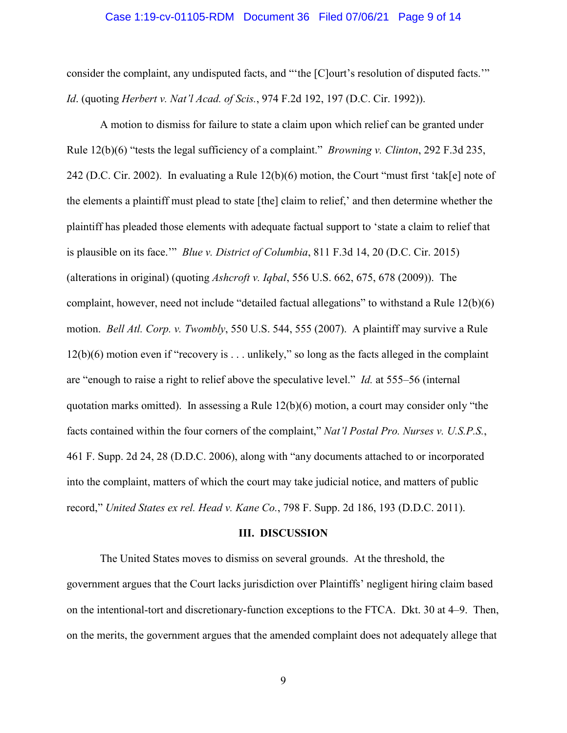### Case 1:19-cv-01105-RDM Document 36 Filed 07/06/21 Page 9 of 14

consider the complaint, any undisputed facts, and "'the [C]ourt's resolution of disputed facts.'" *Id*. (quoting *Herbert v. Nat'l Acad. of Scis.*, 974 F.2d 192, 197 (D.C. Cir. 1992)).

A motion to dismiss for failure to state a claim upon which relief can be granted under Rule 12(b)(6) "tests the legal sufficiency of a complaint." *Browning v. Clinton*, 292 F.3d 235, 242 (D.C. Cir. 2002). In evaluating a Rule 12(b)(6) motion, the Court "must first 'tak[e] note of the elements a plaintiff must plead to state [the] claim to relief,' and then determine whether the plaintiff has pleaded those elements with adequate factual support to 'state a claim to relief that is plausible on its face.'" *Blue v. District of Columbia*, 811 F.3d 14, 20 (D.C. Cir. 2015) (alterations in original) (quoting *Ashcroft v. Iqbal*, 556 U.S. 662, 675, 678 (2009)). The complaint, however, need not include "detailed factual allegations" to withstand a Rule 12(b)(6) motion. *Bell Atl. Corp. v. Twombly*, 550 U.S. 544, 555 (2007). A plaintiff may survive a Rule 12(b)(6) motion even if "recovery is . . . unlikely," so long as the facts alleged in the complaint are "enough to raise a right to relief above the speculative level." *Id.* at 555–56 (internal quotation marks omitted). In assessing a Rule 12(b)(6) motion, a court may consider only "the facts contained within the four corners of the complaint," *Nat'l Postal Pro. Nurses v. U.S.P.S.*, 461 F. Supp. 2d 24, 28 (D.D.C. 2006), along with "any documents attached to or incorporated into the complaint, matters of which the court may take judicial notice, and matters of public record," *United States ex rel. Head v. Kane Co.*, 798 F. Supp. 2d 186, 193 (D.D.C. 2011).

#### **III. DISCUSSION**

The United States moves to dismiss on several grounds. At the threshold, the government argues that the Court lacks jurisdiction over Plaintiffs' negligent hiring claim based on the intentional-tort and discretionary-function exceptions to the FTCA. Dkt. 30 at 4–9. Then, on the merits, the government argues that the amended complaint does not adequately allege that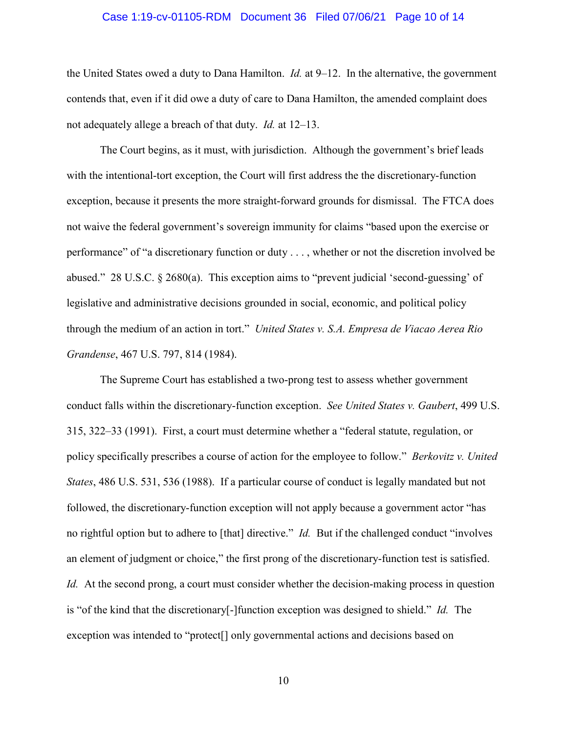## Case 1:19-cv-01105-RDM Document 36 Filed 07/06/21 Page 10 of 14

the United States owed a duty to Dana Hamilton. *Id.* at 9–12. In the alternative, the government contends that, even if it did owe a duty of care to Dana Hamilton, the amended complaint does not adequately allege a breach of that duty. *Id.* at 12–13.

The Court begins, as it must, with jurisdiction. Although the government's brief leads with the intentional-tort exception, the Court will first address the the discretionary-function exception, because it presents the more straight-forward grounds for dismissal. The FTCA does not waive the federal government's sovereign immunity for claims "based upon the exercise or performance" of "a discretionary function or duty . . . , whether or not the discretion involved be abused." 28 U.S.C. § 2680(a). This exception aims to "prevent judicial 'second-guessing' of legislative and administrative decisions grounded in social, economic, and political policy through the medium of an action in tort." *United States v. S.A. Empresa de Viacao Aerea Rio Grandense*, 467 U.S. 797, 814 (1984).

The Supreme Court has established a two-prong test to assess whether government conduct falls within the discretionary-function exception. *See United States v. Gaubert*, 499 U.S. 315, 322–33 (1991). First, a court must determine whether a "federal statute, regulation, or policy specifically prescribes a course of action for the employee to follow." *Berkovitz v. United States*, 486 U.S. 531, 536 (1988). If a particular course of conduct is legally mandated but not followed, the discretionary-function exception will not apply because a government actor "has no rightful option but to adhere to [that] directive." *Id.* But if the challenged conduct "involves an element of judgment or choice," the first prong of the discretionary-function test is satisfied. *Id.* At the second prong, a court must consider whether the decision-making process in question is "of the kind that the discretionary[-]function exception was designed to shield." *Id.* The exception was intended to "protect[] only governmental actions and decisions based on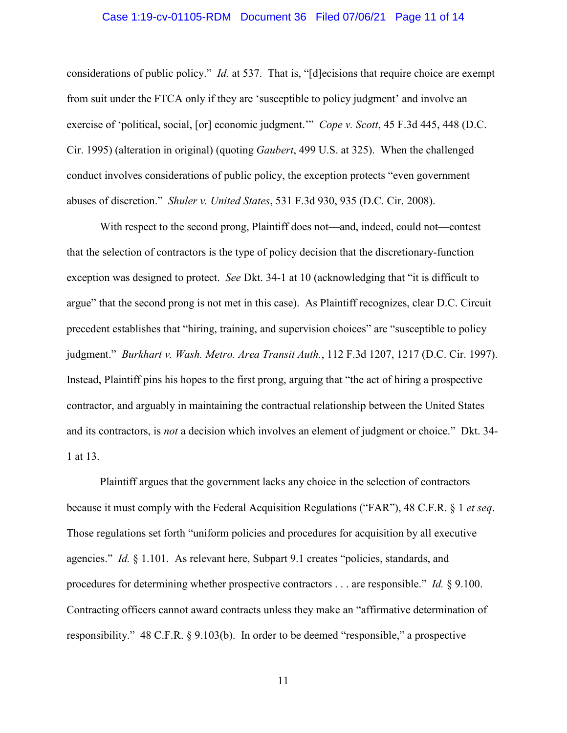# Case 1:19-cv-01105-RDM Document 36 Filed 07/06/21 Page 11 of 14

considerations of public policy." *Id.* at 537. That is, "[d]ecisions that require choice are exempt from suit under the FTCA only if they are 'susceptible to policy judgment' and involve an exercise of 'political, social, [or] economic judgment.'" *Cope v. Scott*, 45 F.3d 445, 448 (D.C. Cir. 1995) (alteration in original) (quoting *Gaubert*, 499 U.S. at 325). When the challenged conduct involves considerations of public policy, the exception protects "even government abuses of discretion." *Shuler v. United States*, 531 F.3d 930, 935 (D.C. Cir. 2008).

With respect to the second prong, Plaintiff does not—and, indeed, could not—contest that the selection of contractors is the type of policy decision that the discretionary-function exception was designed to protect. *See* Dkt. 34-1 at 10 (acknowledging that "it is difficult to argue" that the second prong is not met in this case). As Plaintiff recognizes, clear D.C. Circuit precedent establishes that "hiring, training, and supervision choices" are "susceptible to policy judgment." *Burkhart v. Wash. Metro. Area Transit Auth.*, 112 F.3d 1207, 1217 (D.C. Cir. 1997). Instead, Plaintiff pins his hopes to the first prong, arguing that "the act of hiring a prospective contractor, and arguably in maintaining the contractual relationship between the United States and its contractors, is *not* a decision which involves an element of judgment or choice." Dkt. 34- 1 at 13.

Plaintiff argues that the government lacks any choice in the selection of contractors because it must comply with the Federal Acquisition Regulations ("FAR"), 48 C.F.R. § 1 *et seq*. Those regulations set forth "uniform policies and procedures for acquisition by all executive agencies." *Id.* § 1.101. As relevant here, Subpart 9.1 creates "policies, standards, and procedures for determining whether prospective contractors . . . are responsible." *Id.* § 9.100. Contracting officers cannot award contracts unless they make an "affirmative determination of responsibility." 48 C.F.R. § 9.103(b). In order to be deemed "responsible," a prospective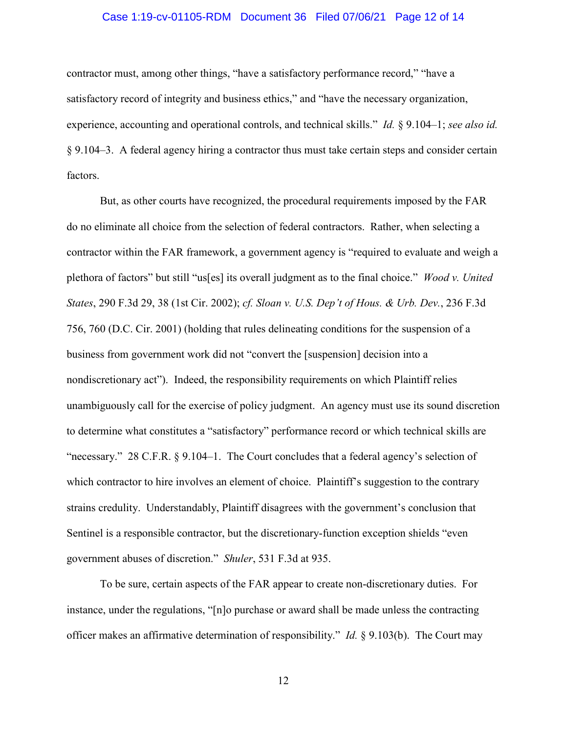# Case 1:19-cv-01105-RDM Document 36 Filed 07/06/21 Page 12 of 14

contractor must, among other things, "have a satisfactory performance record," "have a satisfactory record of integrity and business ethics," and "have the necessary organization, experience, accounting and operational controls, and technical skills." *Id.* § 9.104–1; *see also id.* § 9.104–3. A federal agency hiring a contractor thus must take certain steps and consider certain factors.

But, as other courts have recognized, the procedural requirements imposed by the FAR do no eliminate all choice from the selection of federal contractors. Rather, when selecting a contractor within the FAR framework, a government agency is "required to evaluate and weigh a plethora of factors" but still "us[es] its overall judgment as to the final choice." *Wood v. United States*, 290 F.3d 29, 38 (1st Cir. 2002); *cf. Sloan v. U.S. Dep't of Hous. & Urb. Dev.*, 236 F.3d 756, 760 (D.C. Cir. 2001) (holding that rules delineating conditions for the suspension of a business from government work did not "convert the [suspension] decision into a nondiscretionary act"). Indeed, the responsibility requirements on which Plaintiff relies unambiguously call for the exercise of policy judgment. An agency must use its sound discretion to determine what constitutes a "satisfactory" performance record or which technical skills are "necessary." 28 C.F.R. § 9.104–1. The Court concludes that a federal agency's selection of which contractor to hire involves an element of choice. Plaintiff's suggestion to the contrary strains credulity. Understandably, Plaintiff disagrees with the government's conclusion that Sentinel is a responsible contractor, but the discretionary-function exception shields "even government abuses of discretion." *Shuler*, 531 F.3d at 935.

To be sure, certain aspects of the FAR appear to create non-discretionary duties. For instance, under the regulations, "[n]o purchase or award shall be made unless the contracting officer makes an affirmative determination of responsibility." *Id.* § 9.103(b). The Court may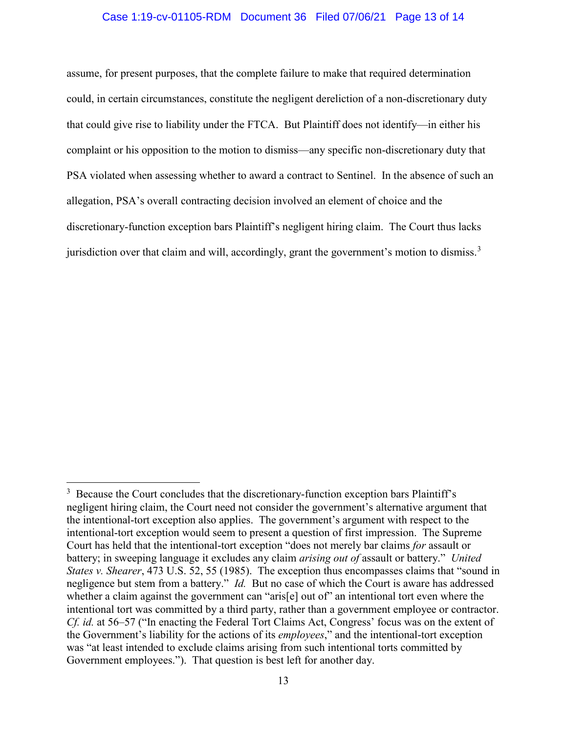# Case 1:19-cv-01105-RDM Document 36 Filed 07/06/21 Page 13 of 14

assume, for present purposes, that the complete failure to make that required determination could, in certain circumstances, constitute the negligent dereliction of a non-discretionary duty that could give rise to liability under the FTCA. But Plaintiff does not identify—in either his complaint or his opposition to the motion to dismiss—any specific non-discretionary duty that PSA violated when assessing whether to award a contract to Sentinel. In the absence of such an allegation, PSA's overall contracting decision involved an element of choice and the discretionary-function exception bars Plaintiff's negligent hiring claim. The Court thus lacks jurisdiction over that claim and will, accordingly, grant the government's motion to dismiss.<sup>[3](#page-12-0)</sup>

<span id="page-12-0"></span> $\frac{1}{3}$  $3\,$  Because the Court concludes that the discretionary-function exception bars Plaintiff's negligent hiring claim, the Court need not consider the government's alternative argument that the intentional-tort exception also applies. The government's argument with respect to the intentional-tort exception would seem to present a question of first impression. The Supreme Court has held that the intentional-tort exception "does not merely bar claims *for* assault or battery; in sweeping language it excludes any claim *arising out of* assault or battery." *United States v. Shearer*, 473 U.S. 52, 55 (1985). The exception thus encompasses claims that "sound in negligence but stem from a battery." *Id.* But no case of which the Court is aware has addressed whether a claim against the government can "aris<sup>[e]</sup> out of" an intentional tort even where the intentional tort was committed by a third party, rather than a government employee or contractor. *Cf. id.* at 56–57 ("In enacting the Federal Tort Claims Act, Congress' focus was on the extent of the Government's liability for the actions of its *employees*," and the intentional-tort exception was "at least intended to exclude claims arising from such intentional torts committed by Government employees."). That question is best left for another day.